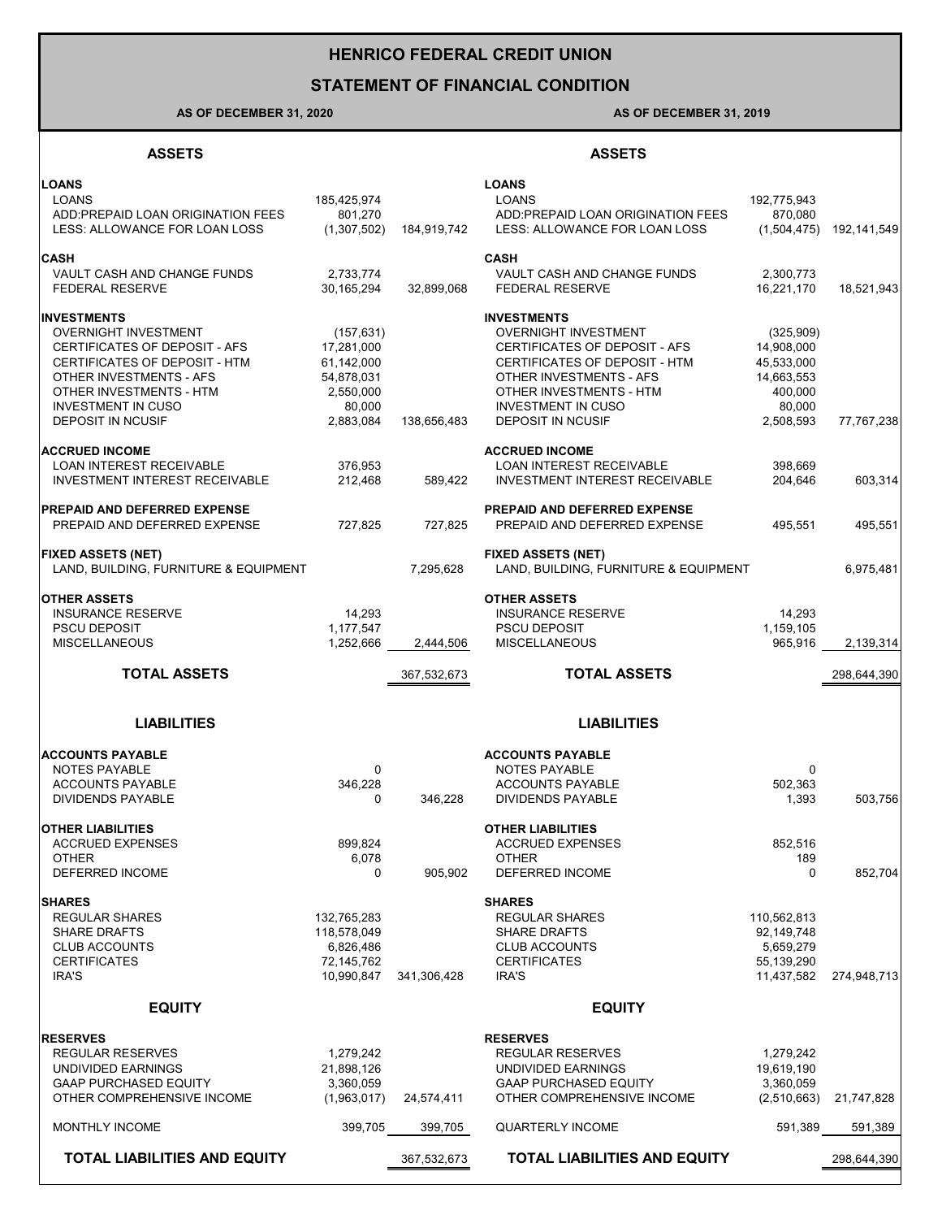# **HENRICO FEDERAL CREDIT UNION**

## **STATEMENT OF FINANCIAL CONDITION**

## **AS OF DECEMBER 31, 2020 AS OF DECEMBER 31, 2019**

### **ASSETS ASSETS**

| <b>TOTAL LIABILITIES AND EQUITY</b>                                                                                                                                                                                                |                                                                                          | 367,532,673 | <b>TOTAL LIABILITIES AND EQUITY</b>                                                                                                                                                                                                |                                                                                       | 298,644,390 |
|------------------------------------------------------------------------------------------------------------------------------------------------------------------------------------------------------------------------------------|------------------------------------------------------------------------------------------|-------------|------------------------------------------------------------------------------------------------------------------------------------------------------------------------------------------------------------------------------------|---------------------------------------------------------------------------------------|-------------|
| <b>MONTHLY INCOME</b>                                                                                                                                                                                                              | 399,705                                                                                  | 399,705     | <b>QUARTERLY INCOME</b>                                                                                                                                                                                                            | 591,389                                                                               | 591,389     |
| <b>RESERVES</b><br><b>REGULAR RESERVES</b><br>UNDIVIDED EARNINGS<br><b>GAAP PURCHASED EQUITY</b><br>OTHER COMPREHENSIVE INCOME                                                                                                     | 1,279,242<br>21,898,126<br>3,360,059<br>(1,963,017)                                      | 24,574,411  | <b>RESERVES</b><br><b>REGULAR RESERVES</b><br>UNDIVIDED EARNINGS<br><b>GAAP PURCHASED EQUITY</b><br>OTHER COMPREHENSIVE INCOME                                                                                                     | 1,279,242<br>19,619,190<br>3,360,059<br>(2,510,663)                                   | 21,747,828  |
| <b>EQUITY</b>                                                                                                                                                                                                                      |                                                                                          |             | <b>EQUITY</b>                                                                                                                                                                                                                      |                                                                                       |             |
| <b>SHARES</b><br><b>REGULAR SHARES</b><br><b>SHARE DRAFTS</b><br><b>CLUB ACCOUNTS</b><br><b>CERTIFICATES</b><br>IRA'S                                                                                                              | 132,765,283<br>118,578,049<br>6,826,486<br>72,145,762<br>10,990,847                      | 341,306,428 | <b>SHARES</b><br><b>REGULAR SHARES</b><br><b>SHARE DRAFTS</b><br><b>CLUB ACCOUNTS</b><br><b>CERTIFICATES</b><br>IRA'S                                                                                                              | 110,562,813<br>92,149,748<br>5,659,279<br>55,139,290<br>11,437,582                    | 274,948,713 |
| <b>OTHER LIABILITIES</b><br><b>ACCRUED EXPENSES</b><br><b>OTHER</b><br>DEFERRED INCOME                                                                                                                                             | 899,824<br>6,078<br>0                                                                    | 905,902     | <b>OTHER LIABILITIES</b><br><b>ACCRUED EXPENSES</b><br><b>OTHER</b><br>DEFERRED INCOME                                                                                                                                             | 852,516<br>189<br>0                                                                   | 852,704     |
| <b>LIABILITIES</b><br><b>ACCOUNTS PAYABLE</b><br><b>NOTES PAYABLE</b><br><b>ACCOUNTS PAYABLE</b><br><b>DIVIDENDS PAYABLE</b>                                                                                                       | $\mathbf 0$<br>346,228<br>0                                                              | 346.228     | <b>LIABILITIES</b><br><b>ACCOUNTS PAYABLE</b><br><b>NOTES PAYABLE</b><br><b>ACCOUNTS PAYABLE</b><br><b>DIVIDENDS PAYABLE</b>                                                                                                       | 0<br>502,363<br>1,393                                                                 | 503,756     |
| <b>TOTAL ASSETS</b>                                                                                                                                                                                                                |                                                                                          | 367,532,673 | <b>TOTAL ASSETS</b>                                                                                                                                                                                                                |                                                                                       | 298,644,390 |
| <b>INSURANCE RESERVE</b><br><b>PSCU DEPOSIT</b><br><b>MISCELLANEOUS</b>                                                                                                                                                            | 14,293<br>1,177,547<br>1,252,666                                                         | 2,444,506   | <b>INSURANCE RESERVE</b><br><b>PSCU DEPOSIT</b><br><b>MISCELLANEOUS</b>                                                                                                                                                            | 14,293<br>1,159,105<br>965,916                                                        | 2,139,314   |
| <b>FIXED ASSETS (NET)</b><br>LAND, BUILDING, FURNITURE & EQUIPMENT<br><b>OTHER ASSETS</b>                                                                                                                                          |                                                                                          | 7,295,628   | <b>FIXED ASSETS (NET)</b><br>LAND, BUILDING, FURNITURE & EQUIPMENT<br><b>OTHER ASSETS</b>                                                                                                                                          |                                                                                       | 6,975,481   |
| <b>PREPAID AND DEFERRED EXPENSE</b><br>PREPAID AND DEFERRED EXPENSE                                                                                                                                                                | 727,825                                                                                  | 727,825     | <b>PREPAID AND DEFERRED EXPENSE</b><br>PREPAID AND DEFERRED EXPENSE                                                                                                                                                                | 495.551                                                                               | 495,551     |
| <b>ACCRUED INCOME</b><br>LOAN INTEREST RECEIVABLE<br><b>INVESTMENT INTEREST RECEIVABLE</b>                                                                                                                                         | 376,953<br>212,468                                                                       | 589,422     | <b>ACCRUED INCOME</b><br><b>LOAN INTEREST RECEIVABLE</b><br>INVESTMENT INTEREST RECEIVABLE                                                                                                                                         | 398,669<br>204,646                                                                    | 603,314     |
| <b>INVESTMENTS</b><br><b>OVERNIGHT INVESTMENT</b><br>CERTIFICATES OF DEPOSIT - AFS<br>CERTIFICATES OF DEPOSIT - HTM<br>OTHER INVESTMENTS - AFS<br>OTHER INVESTMENTS - HTM<br><b>INVESTMENT IN CUSO</b><br><b>DEPOSIT IN NCUSIF</b> | (157, 631)<br>17,281,000<br>61,142,000<br>54.878.031<br>2,550,000<br>80,000<br>2,883,084 | 138,656,483 | <b>INVESTMENTS</b><br><b>OVERNIGHT INVESTMENT</b><br>CERTIFICATES OF DEPOSIT - AFS<br>CERTIFICATES OF DEPOSIT - HTM<br>OTHER INVESTMENTS - AFS<br>OTHER INVESTMENTS - HTM<br><b>INVESTMENT IN CUSO</b><br><b>DEPOSIT IN NCUSIF</b> | (325,909)<br>14,908,000<br>45,533,000<br>14,663,553<br>400,000<br>80,000<br>2,508,593 | 77,767,238  |
| <b>CASH</b><br>VAULT CASH AND CHANGE FUNDS<br><b>FEDERAL RESERVE</b>                                                                                                                                                               | 2,733,774<br>30,165,294                                                                  | 32,899,068  | <b>CASH</b><br>VAULT CASH AND CHANGE FUNDS<br><b>FEDERAL RESERVE</b>                                                                                                                                                               | 2,300,773<br>16,221,170                                                               | 18,521,943  |
| <b>LOANS</b><br><b>LOANS</b><br>ADD:PREPAID LOAN ORIGINATION FEES<br>LESS: ALLOWANCE FOR LOAN LOSS                                                                                                                                 | 185,425,974<br>801.270<br>(1,307,502)                                                    | 184,919,742 | <b>LOANS</b><br><b>LOANS</b><br>ADD:PREPAID LOAN ORIGINATION FEES<br>LESS: ALLOWANCE FOR LOAN LOSS                                                                                                                                 | 192,775,943<br>870,080<br>(1,504,475)                                                 | 192,141,549 |